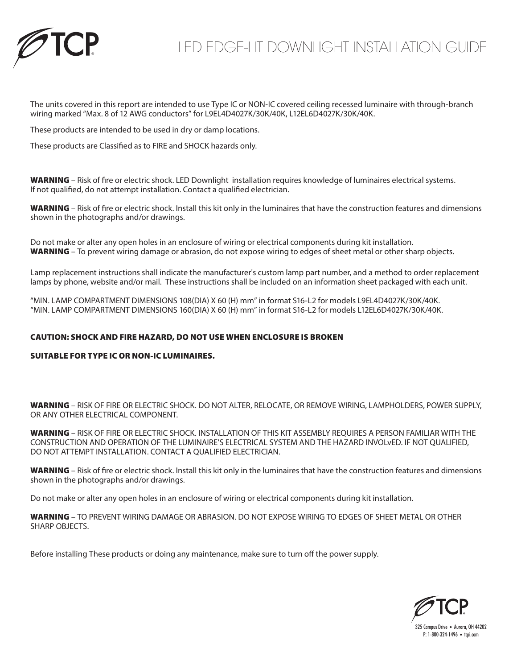

## LED EDGE-LIT DOWNLIGHT INSTALLATION GUIDE

The units covered in this report are intended to use Type IC or NON-IC covered ceiling recessed luminaire with through-branch wiring marked "Max. 8 of 12 AWG conductors" for L9EL4D4027K/30K/40K, L12EL6D4027K/30K/40K.

These products are intended to be used in dry or damp locations.

These products are Classified as to FIRE and SHOCK hazards only.

WARNING – Risk of fire or electric shock. LED Downlight installation requires knowledge of luminaires electrical systems. If not qualified, do not attempt installation. Contact a qualified electrician.

WARNING - Risk of fire or electric shock. Install this kit only in the luminaires that have the construction features and dimensions shown in the photographs and/or drawings.

Do not make or alter any open holes in an enclosure of wiring or electrical components during kit installation. WARNING – To prevent wiring damage or abrasion, do not expose wiring to edges of sheet metal or other sharp objects.

Lamp replacement instructions shall indicate the manufacturer's custom lamp part number, and a method to order replacement lamps by phone, website and/or mail. These instructions shall be included on an information sheet packaged with each unit.

"MIN. LAMP COMPARTMENT DIMENSIONS 108(DIA) X 60 (H) mm" in format S16-L2 for models L9EL4D4027K/30K/40K. "MIN. LAMP COMPARTMENT DIMENSIONS 160(DIA) X 60 (H) mm" in format S16-L2 for models L12EL6D4027K/30K/40K.

## CAUTION: SHOCK AND FIRE HAZARD, DO NOT USE WHEN ENCLOSURE IS BROKEN

## SUITABLE FOR TYPE IC OR NON-IC LUMINAIRES.

WARNING – RISK OF FIRE OR ELECTRIC SHOCK. DO NOT ALTER, RELOCATE, OR REMOVE WIRING, LAMPHOLDERS, POWER SUPPLY, OR ANY OTHER ELECTRICAL COMPONENT.

WARNING – RISK OF FIRE OR ELECTRIC SHOCK. INSTALLATION OF THIS KIT ASSEMBLY REQUIRES A PERSON FAMILIAR WITH THE CONSTRUCTION AND OPERATION OF THE LUMINAIRE'S ELECTRICAL SYSTEM AND THE HAZARD INVOLvED. IF NOT QUALIFIED, DO NOT ATTEMPT INSTALLATION. CONTACT A QUALIFIED ELECTRICIAN.

WARNING – Risk of fire or electric shock. Install this kit only in the luminaires that have the construction features and dimensions shown in the photographs and/or drawings.

Do not make or alter any open holes in an enclosure of wiring or electrical components during kit installation.

WARNING – TO PREVENT WIRING DAMAGE OR ABRASION. DO NOT EXPOSE WIRING TO EDGES OF SHEET METAL OR OTHER SHARP OBJECTS.

Before installing These products or doing any maintenance, make sure to turn off the power supply.